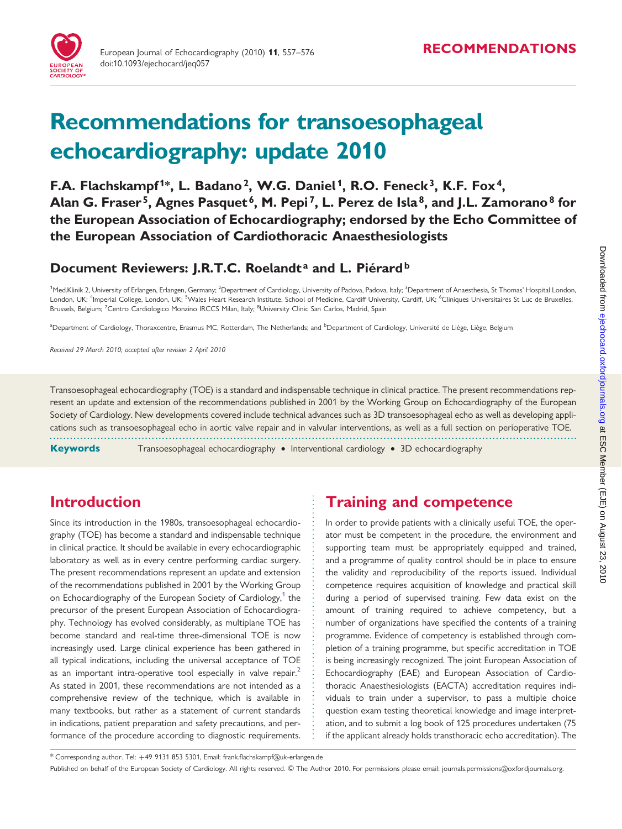

# Recommendations for transoesophageal echocardiography: update 2010

F.A. Flachskampf<sup>1\*</sup>, L. Badano<sup>2</sup>, W.G. Daniel<sup>1</sup>, R.O. Feneck<sup>3</sup>, K.F. Fox<sup>4</sup>, Alan G. Fraser<sup>5</sup>, Agnes Pasquet<sup>6</sup>, M. Pepi<sup>7</sup>, L. Perez de Isla<sup>8</sup>, and J.L. Zamorano<sup>8</sup> for the European Association of Echocardiography; endorsed by the Echo Committee of the European Association of Cardiothoracic Anaesthesiologists

### Document Reviewers: J.R.T.C. Roelandt<sup>a</sup> and L. Piérard<sup>b</sup>

<sup>1</sup>Med.Klinik 2, University of Erlangen, Erlangen, Germany; <sup>2</sup>Department of Cardiology, University of Padova, Padova, Italy; <sup>3</sup>Department of Anaesthesia, St Thomas' Hospital London. London, UK; <sup>4</sup>Imperial College, London, UK; <sup>5</sup>Wales Heart Research Institute, School of Medicine, Cardiff University, Cardiff, UK; <sup>6</sup>Cliniques Universitaires St Luc de Bruxelles, Brussels, Belgium; <sup>7</sup>Centro Cardiologico Monzino IRCCS Milan, Italy; <sup>8</sup>University Clinic San Carlos, Madrid, Spain

<sup>a</sup>Department of Cardiology, Thoraxcentre, Erasmus MC, Rotterdam, The Netherlands; and <sup>b</sup>Department of Cardiology, Université de Liège, Liège, Belgium

Received 29 March 2010; accepted after revision 2 April 2010

Transoesophageal echocardiography (TOE) is a standard and indispensable technique in clinical practice. The present recommendations represent an update and extension of the recommendations published in 2001 by the Working Group on Echocardiography of the European Society of Cardiology. New developments covered include technical advances such as 3D transoesophageal echo as well as developing applications such as transoesophageal echo in aortic valve repair and in valvular interventions, as well as a full section on perioperative TOE. -----------------------------------------------------------------------------------------------------------------------------------------------------------

Keywords Transoesophageal echocardiography • Interventional cardiology • 3D echocardiography

# Introduction

Since its introduction in the 1980s, transoesophageal echocardiography (TOE) has become a standard and indispensable technique in clinical practice. It should be available in every echocardiographic laboratory as well as in every centre performing cardiac surgery. The present recommendations represent an update and extension of the recommendations published in 2001 by the Working Group on Echocardiography of the European Society of Cardiology,<sup>[1](#page-17-0)</sup> the precursor of the present European Association of Echocardiography. Technology has evolved considerably, as multiplane TOE has become standard and real-time three-dimensional TOE is now increasingly used. Large clinical experience has been gathered in all typical indications, including the universal acceptance of TOE as an important intra-operative tool especially in valve repair.<sup>[2](#page-17-0)</sup> As stated in 2001, these recommendations are not intended as a comprehensive review of the technique, which is available in many textbooks, but rather as a statement of current standards in indications, patient preparation and safety precautions, and performance of the procedure according to diagnostic requirements.

# Training and competence

In order to provide patients with a clinically useful TOE, the operator must be competent in the procedure, the environment and supporting team must be appropriately equipped and trained, and a programme of quality control should be in place to ensure the validity and reproducibility of the reports issued. Individual competence requires acquisition of knowledge and practical skill during a period of supervised training. Few data exist on the amount of training required to achieve competency, but a number of organizations have specified the contents of a training programme. Evidence of competency is established through completion of a training programme, but specific accreditation in TOE is being increasingly recognized. The joint European Association of Echocardiography (EAE) and European Association of Cardiothoracic Anaesthesiologists (EACTA) accreditation requires individuals to train under a supervisor, to pass a multiple choice question exam testing theoretical knowledge and image interpretation, and to submit a log book of 125 procedures undertaken (75 if the applicant already holds transthoracic echo accreditation). The

\* Corresponding author. Tel: +49 9131 853 5301, Email: frank.flachskampf@uk-erlangen.de

Published on behalf of the European Society of Cardiology. All rights reserved. © The Author 2010. For permissions please email: journals.permissions@oxfordjournals.org.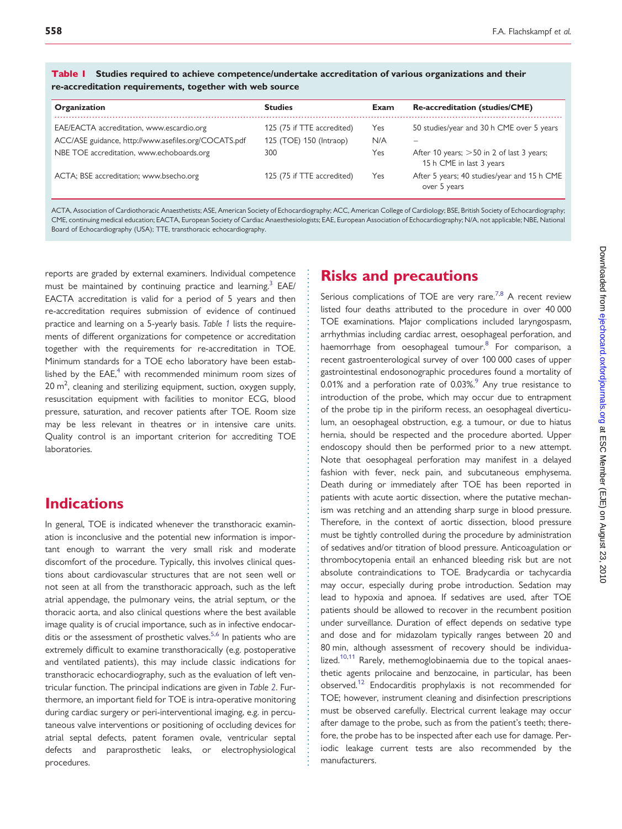#### Table 1 Studies required to achieve competence/undertake accreditation of various organizations and their re-accreditation requirements, together with web source

| Organization                                         | <b>Studies</b>             | Exam | Re-accreditation (studies/CME)                                          |
|------------------------------------------------------|----------------------------|------|-------------------------------------------------------------------------|
| EAE/EACTA accreditation, www.escardio.org            | 125 (75 if TTE accredited) | Yes  | 50 studies/year and 30 h CME over 5 years                               |
| ACC/ASE guidance, http://www.asefiles.org/COCATS.pdf | 125 (TOE) 150 (Intraop)    | N/A  |                                                                         |
| NBE TOE accreditation, www.echoboards.org            | 300                        | Yes  | After 10 years; $>50$ in 2 of last 3 years;<br>15 h CME in last 3 years |
| ACTA; BSE accreditation; www.bsecho.org              | 125 (75 if TTE accredited) | Yes  | After 5 years; 40 studies/year and 15 h CME<br>over 5 years             |

ACTA, Association of Cardiothoracic Anaesthetists; ASE, American Society of Echocardiography; ACC, American College of Cardiology; BSE, British Society of Echocardiography; CME, continuing medical education; EACTA, European Society of Cardiac Anaesthesiologists; EAE, European Association of Echocardiography; N/A, not applicable; NBE, National Board of Echocardiography (USA); TTE, transthoracic echocardiography.

reports are graded by external examiners. Individual competence must be maintained by continuing practice and learning.<sup>[3](#page-18-0)</sup> EAE/ EACTA accreditation is valid for a period of 5 years and then re-accreditation requires submission of evidence of continued practice and learning on a 5-yearly basis. Table 1 lists the requirements of different organizations for competence or accreditation together with the requirements for re-accreditation in TOE. Minimum standards for a TOE echo laboratory have been established by the  $EAE<sub>1</sub><sup>4</sup>$  $EAE<sub>1</sub><sup>4</sup>$  $EAE<sub>1</sub><sup>4</sup>$  with recommended minimum room sizes of 20 m $^2$ , cleaning and sterilizing equipment, suction, oxygen supply, resuscitation equipment with facilities to monitor ECG, blood pressure, saturation, and recover patients after TOE. Room size may be less relevant in theatres or in intensive care units. Quality control is an important criterion for accrediting TOE laboratories.

# **Indications**

In general, TOE is indicated whenever the transthoracic examination is inconclusive and the potential new information is important enough to warrant the very small risk and moderate discomfort of the procedure. Typically, this involves clinical questions about cardiovascular structures that are not seen well or not seen at all from the transthoracic approach, such as the left atrial appendage, the pulmonary veins, the atrial septum, or the thoracic aorta, and also clinical questions where the best available image quality is of crucial importance, such as in infective endocar-ditis or the assessment of prosthetic valves.<sup>[5](#page-18-0),[6](#page-18-0)</sup> In patients who are extremely difficult to examine transthoracically (e.g. postoperative and ventilated patients), this may include classic indications for transthoracic echocardiography, such as the evaluation of left ventricular function. The principal indications are given in Table [2](#page-2-0). Furthermore, an important field for TOE is intra-operative monitoring during cardiac surgery or peri-interventional imaging, e.g. in percutaneous valve interventions or positioning of occluding devices for atrial septal defects, patent foramen ovale, ventricular septal defects and paraprosthetic leaks, or electrophysiological procedures.

### Risks and precautions

Serious complications of TOE are very rare.<sup>7,8</sup> A recent review listed four deaths attributed to the procedure in over 40 000 TOE examinations. Major complications included laryngospasm, arrhythmias including cardiac arrest, oesophageal perforation, and haemorrhage from oesophageal tumour.<sup>[8](#page-18-0)</sup> For comparison, a recent gastroenterological survey of over 100 000 cases of upper gastrointestinal endosonographic procedures found a mortality of 0.01% and a perforation rate of  $0.03\%$ .<sup>[9](#page-18-0)</sup> Any true resistance to introduction of the probe, which may occur due to entrapment of the probe tip in the piriform recess, an oesophageal diverticulum, an oesophageal obstruction, e.g. a tumour, or due to hiatus hernia, should be respected and the procedure aborted. Upper endoscopy should then be performed prior to a new attempt. Note that oesophageal perforation may manifest in a delayed fashion with fever, neck pain, and subcutaneous emphysema. Death during or immediately after TOE has been reported in patients with acute aortic dissection, where the putative mechanism was retching and an attending sharp surge in blood pressure. Therefore, in the context of aortic dissection, blood pressure must be tightly controlled during the procedure by administration of sedatives and/or titration of blood pressure. Anticoagulation or thrombocytopenia entail an enhanced bleeding risk but are not absolute contraindications to TOE. Bradycardia or tachycardia may occur, especially during probe introduction. Sedation may lead to hypoxia and apnoea. If sedatives are used, after TOE patients should be allowed to recover in the recumbent position under surveillance. Duration of effect depends on sedative type and dose and for midazolam typically ranges between 20 and 80 min, although assessment of recovery should be individua-lized.<sup>[10](#page-18-0),[11](#page-18-0)</sup> Rarely, methemoglobinaemia due to the topical anaesthetic agents prilocaine and benzocaine, in particular, has been observed.[12](#page-18-0) Endocarditis prophylaxis is not recommended for TOE; however, instrument cleaning and disinfection prescriptions must be observed carefully. Electrical current leakage may occur after damage to the probe, such as from the patient's teeth; therefore, the probe has to be inspected after each use for damage. Periodic leakage current tests are also recommended by the manufacturers.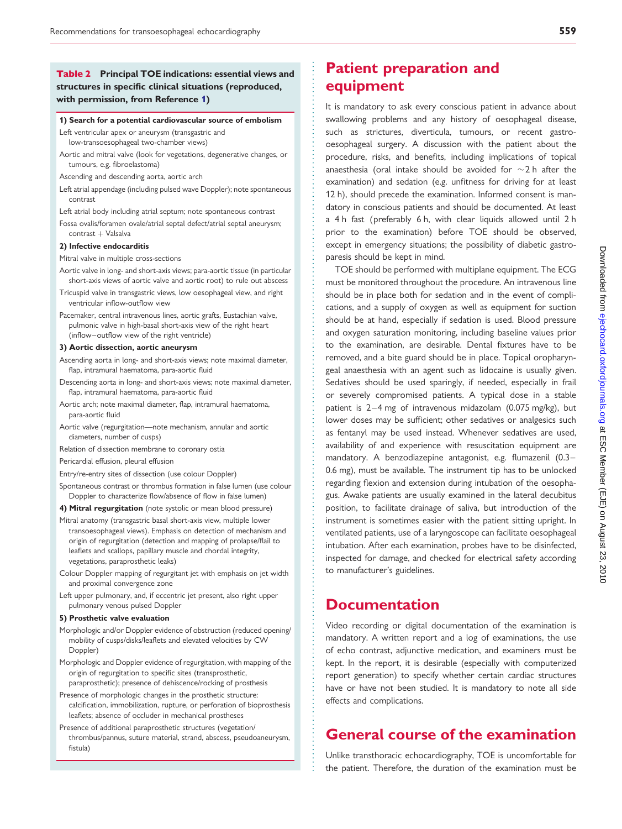#### <span id="page-2-0"></span>Table 2 Principal TOE indications: essential views and structures in specific clinical situations (reproduced, with permission, from Reference [1\)](#page-17-0)

#### 1) Search for a potential cardiovascular source of embolism

Left ventricular apex or aneurysm (transgastric and low-transoesophageal two-chamber views)

- Aortic and mitral valve (look for vegetations, degenerative changes, or tumours, e.g. fibroelastoma)
- Ascending and descending aorta, aortic arch
- Left atrial appendage (including pulsed wave Doppler); note spontaneous contrast
- Left atrial body including atrial septum; note spontaneous contrast
- Fossa ovalis/foramen ovale/atrial septal defect/atrial septal aneurysm; contrast + Valsalva

#### 2) Infective endocarditis

Mitral valve in multiple cross-sections

- Aortic valve in long- and short-axis views; para-aortic tissue (in particular short-axis views of aortic valve and aortic root) to rule out abscess
- Tricuspid valve in transgastric views, low oesophageal view, and right ventricular inflow-outflow view
- Pacemaker, central intravenous lines, aortic grafts, Eustachian valve, pulmonic valve in high-basal short-axis view of the right heart (inflow–outflow view of the right ventricle)

#### 3) Aortic dissection, aortic aneurysm

- Ascending aorta in long- and short-axis views; note maximal diameter, flap, intramural haematoma, para-aortic fluid
- Descending aorta in long- and short-axis views; note maximal diameter, flap, intramural haematoma, para-aortic fluid
- Aortic arch; note maximal diameter, flap, intramural haematoma, para-aortic fluid
- Aortic valve (regurgitation—note mechanism, annular and aortic diameters, number of cusps)
- Relation of dissection membrane to coronary ostia
- Pericardial effusion, pleural effusion
- Entry/re-entry sites of dissection (use colour Doppler)
- Spontaneous contrast or thrombus formation in false lumen (use colour Doppler to characterize flow/absence of flow in false lumen)
- 4) Mitral regurgitation (note systolic or mean blood pressure)
- Mitral anatomy (transgastric basal short-axis view, multiple lower transoesophageal views). Emphasis on detection of mechanism and origin of regurgitation (detection and mapping of prolapse/flail to leaflets and scallops, papillary muscle and chordal integrity, vegetations, paraprosthetic leaks)
- Colour Doppler mapping of regurgitant jet with emphasis on jet width and proximal convergence zone
- Left upper pulmonary, and, if eccentric jet present, also right upper pulmonary venous pulsed Doppler

#### 5) Prosthetic valve evaluation

- Morphologic and/or Doppler evidence of obstruction (reduced opening/ mobility of cusps/disks/leaflets and elevated velocities by CW Doppler)
- Morphologic and Doppler evidence of regurgitation, with mapping of the origin of regurgitation to specific sites (transprosthetic, paraprosthetic); presence of dehiscence/rocking of prosthesis
- Presence of morphologic changes in the prosthetic structure: calcification, immobilization, rupture, or perforation of bioprosthesis leaflets; absence of occluder in mechanical prostheses
- Presence of additional paraprosthetic structures (vegetation/ thrombus/pannus, suture material, strand, abscess, pseudoaneurysm, fistula)

### Patient preparation and equipment

It is mandatory to ask every conscious patient in advance about swallowing problems and any history of oesophageal disease, such as strictures, diverticula, tumours, or recent gastrooesophageal surgery. A discussion with the patient about the procedure, risks, and benefits, including implications of topical anaesthesia (oral intake should be avoided for  $\sim$ 2 h after the examination) and sedation (e.g. unfitness for driving for at least 12 h), should precede the examination. Informed consent is mandatory in conscious patients and should be documented. At least a 4 h fast (preferably 6 h, with clear liquids allowed until 2 h prior to the examination) before TOE should be observed, except in emergency situations; the possibility of diabetic gastroparesis should be kept in mind.

TOE should be performed with multiplane equipment. The ECG must be monitored throughout the procedure. An intravenous line should be in place both for sedation and in the event of complications, and a supply of oxygen as well as equipment for suction should be at hand, especially if sedation is used. Blood pressure and oxygen saturation monitoring, including baseline values prior to the examination, are desirable. Dental fixtures have to be removed, and a bite guard should be in place. Topical oropharyngeal anaesthesia with an agent such as lidocaine is usually given. Sedatives should be used sparingly, if needed, especially in frail or severely compromised patients. A typical dose in a stable patient is 2–4 mg of intravenous midazolam (0.075 mg/kg), but lower doses may be sufficient; other sedatives or analgesics such as fentanyl may be used instead. Whenever sedatives are used, availability of and experience with resuscitation equipment are mandatory. A benzodiazepine antagonist, e.g. flumazenil (0.3– 0.6 mg), must be available. The instrument tip has to be unlocked regarding flexion and extension during intubation of the oesophagus. Awake patients are usually examined in the lateral decubitus position, to facilitate drainage of saliva, but introduction of the instrument is sometimes easier with the patient sitting upright. In ventilated patients, use of a laryngoscope can facilitate oesophageal intubation. After each examination, probes have to be disinfected, inspected for damage, and checked for electrical safety according to manufacturer's guidelines.

### **Documentation**

Video recording or digital documentation of the examination is mandatory. A written report and a log of examinations, the use of echo contrast, adjunctive medication, and examiners must be kept. In the report, it is desirable (especially with computerized report generation) to specify whether certain cardiac structures have or have not been studied. It is mandatory to note all side effects and complications.

### General course of the examination

Unlike transthoracic echocardiography, TOE is uncomfortable for the patient. Therefore, the duration of the examination must be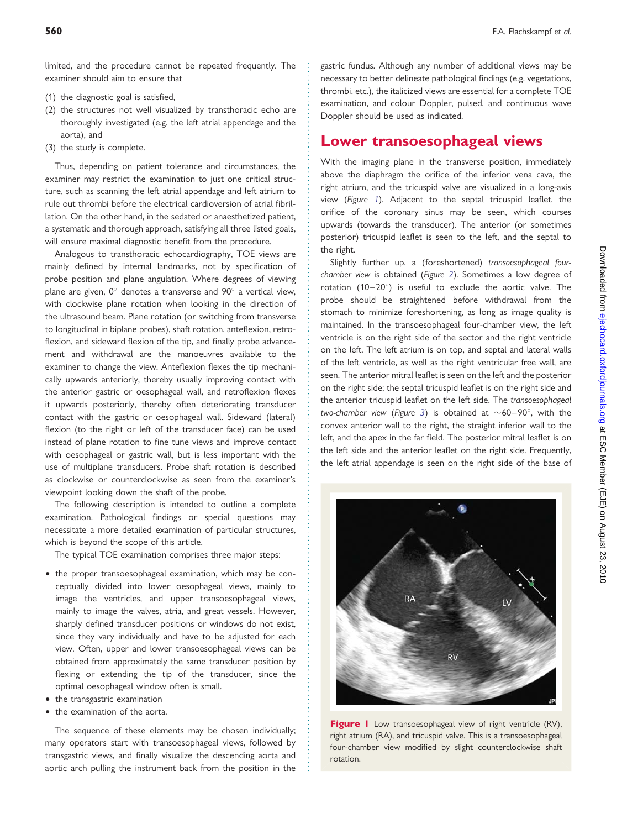limited, and the procedure cannot be repeated frequently. The examiner should aim to ensure that

- (1) the diagnostic goal is satisfied,
- (2) the structures not well visualized by transthoracic echo are thoroughly investigated (e.g. the left atrial appendage and the aorta), and
- (3) the study is complete.

Thus, depending on patient tolerance and circumstances, the examiner may restrict the examination to just one critical structure, such as scanning the left atrial appendage and left atrium to rule out thrombi before the electrical cardioversion of atrial fibrillation. On the other hand, in the sedated or anaesthetized patient, a systematic and thorough approach, satisfying all three listed goals, will ensure maximal diagnostic benefit from the procedure.

Analogous to transthoracic echocardiography, TOE views are mainly defined by internal landmarks, not by specification of probe position and plane angulation. Where degrees of viewing plane are given,  $0^{\circ}$  denotes a transverse and  $90^{\circ}$  a vertical view, with clockwise plane rotation when looking in the direction of the ultrasound beam. Plane rotation (or switching from transverse to longitudinal in biplane probes), shaft rotation, anteflexion, retroflexion, and sideward flexion of the tip, and finally probe advancement and withdrawal are the manoeuvres available to the examiner to change the view. Anteflexion flexes the tip mechanically upwards anteriorly, thereby usually improving contact with the anterior gastric or oesophageal wall, and retroflexion flexes it upwards posteriorly, thereby often deteriorating transducer contact with the gastric or oesophageal wall. Sideward (lateral) flexion (to the right or left of the transducer face) can be used instead of plane rotation to fine tune views and improve contact with oesophageal or gastric wall, but is less important with the use of multiplane transducers. Probe shaft rotation is described as clockwise or counterclockwise as seen from the examiner's viewpoint looking down the shaft of the probe.

The following description is intended to outline a complete examination. Pathological findings or special questions may necessitate a more detailed examination of particular structures, which is beyond the scope of this article.

The typical TOE examination comprises three major steps:

- the proper transoesophageal examination, which may be conceptually divided into lower oesophageal views, mainly to image the ventricles, and upper transoesophageal views, mainly to image the valves, atria, and great vessels. However, sharply defined transducer positions or windows do not exist, since they vary individually and have to be adjusted for each view. Often, upper and lower transoesophageal views can be obtained from approximately the same transducer position by flexing or extending the tip of the transducer, since the optimal oesophageal window often is small.
- the transgastric examination
- the examination of the aorta.

The sequence of these elements may be chosen individually; many operators start with transoesophageal views, followed by transgastric views, and finally visualize the descending aorta and aortic arch pulling the instrument back from the position in the

gastric fundus. Although any number of additional views may be necessary to better delineate pathological findings (e.g. vegetations, thrombi, etc.), the italicized views are essential for a complete TOE examination, and colour Doppler, pulsed, and continuous wave Doppler should be used as indicated.

### Lower transoesophageal views

With the imaging plane in the transverse position, immediately above the diaphragm the orifice of the inferior vena cava, the right atrium, and the tricuspid valve are visualized in a long-axis view (Figure 1). Adjacent to the septal tricuspid leaflet, the orifice of the coronary sinus may be seen, which courses upwards (towards the transducer). The anterior (or sometimes posterior) tricuspid leaflet is seen to the left, and the septal to the right.

Slightly further up, a (foreshortened) transoesophageal fourchamber view is obtained (Figure [2](#page-4-0)). Sometimes a low degree of rotation  $(10-20^{\circ})$  is useful to exclude the aortic valve. The probe should be straightened before withdrawal from the stomach to minimize foreshortening, as long as image quality is maintained. In the transoesophageal four-chamber view, the left ventricle is on the right side of the sector and the right ventricle on the left. The left atrium is on top, and septal and lateral walls of the left ventricle, as well as the right ventricular free wall, are seen. The anterior mitral leaflet is seen on the left and the posterior on the right side; the septal tricuspid leaflet is on the right side and the anterior tricuspid leaflet on the left side. The transoesophageal two-chamber view (Figure [3](#page-4-0)) is obtained at  $\sim$  60–90 $^{\circ}$ , with the convex anterior wall to the right, the straight inferior wall to the left, and the apex in the far field. The posterior mitral leaflet is on the left side and the anterior leaflet on the right side. Frequently, the left atrial appendage is seen on the right side of the base of



Figure I Low transoesophageal view of right ventricle (RV), right atrium (RA), and tricuspid valve. This is a transoesophageal four-chamber view modified by slight counterclockwise shaft rotation.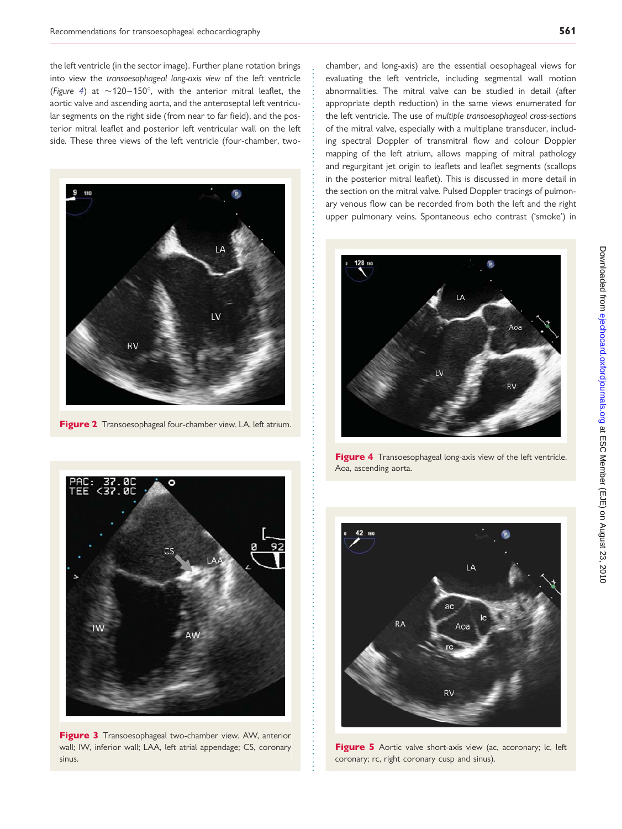<span id="page-4-0"></span>the left ventricle (in the sector image). Further plane rotation brings into view the transoesophageal long-axis view of the left ventricle (Figure 4) at  $\sim$ 120–150°, with the anterior mitral leaflet, the aortic valve and ascending aorta, and the anteroseptal left ventricular segments on the right side (from near to far field), and the posterior mitral leaflet and posterior left ventricular wall on the left side. These three views of the left ventricle (four-chamber, two-



Figure 2 Transoesophageal four-chamber view. LA, left atrium.



Figure 3 Transoesophageal two-chamber view. AW, anterior wall; IW, inferior wall; LAA, left atrial appendage; CS, coronary sinus.

chamber, and long-axis) are the essential oesophageal views for evaluating the left ventricle, including segmental wall motion abnormalities. The mitral valve can be studied in detail (after appropriate depth reduction) in the same views enumerated for the left ventricle. The use of multiple transoesophageal cross-sections of the mitral valve, especially with a multiplane transducer, including spectral Doppler of transmitral flow and colour Doppler mapping of the left atrium, allows mapping of mitral pathology and regurgitant jet origin to leaflets and leaflet segments (scallops in the posterior mitral leaflet). This is discussed in more detail in the section on the mitral valve. Pulsed Doppler tracings of pulmonary venous flow can be recorded from both the left and the right upper pulmonary veins. Spontaneous echo contrast ('smoke') in



Figure 4 Transoesophageal long-axis view of the left ventricle. Aoa, ascending aorta.



Figure 5 Aortic valve short-axis view (ac, acoronary; lc, left coronary; rc, right coronary cusp and sinus).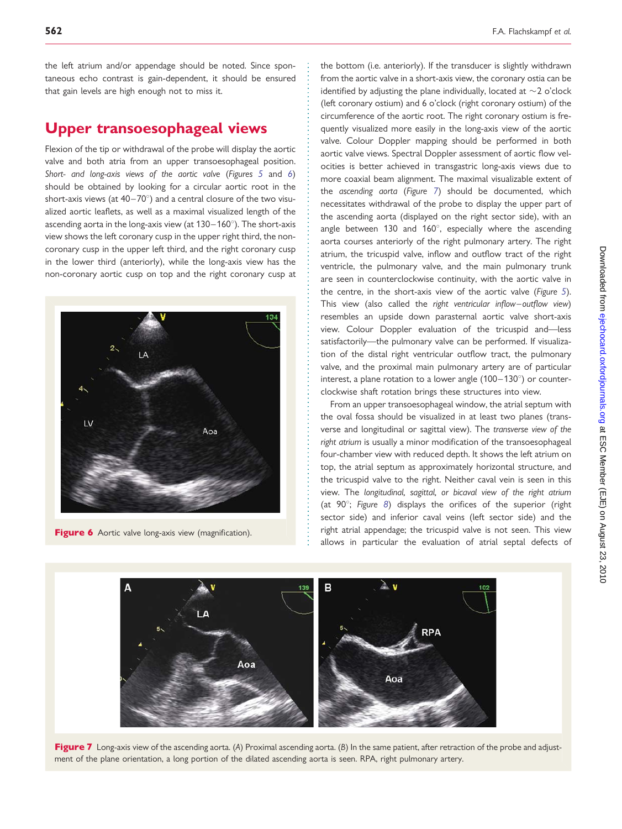the left atrium and/or appendage should be noted. Since spontaneous echo contrast is gain-dependent, it should be ensured that gain levels are high enough not to miss it.

### Upper transoesophageal views

Flexion of the tip or withdrawal of the probe will display the aortic valve and both atria from an upper transoesophageal position. Short- and long-axis views of the aortic valve (Figures [5](#page-4-0) and 6) should be obtained by looking for a circular aortic root in the short-axis views (at  $40-70^{\circ}$ ) and a central closure of the two visualized aortic leaflets, as well as a maximal visualized length of the ascending aorta in the long-axis view (at  $130-160^{\circ}$ ). The short-axis view shows the left coronary cusp in the upper right third, the noncoronary cusp in the upper left third, and the right coronary cusp in the lower third (anteriorly), while the long-axis view has the non-coronary aortic cusp on top and the right coronary cusp at



Figure 6 Aortic valve long-axis view (magnification).

the bottom (i.e. anteriorly). If the transducer is slightly withdrawn from the aortic valve in a short-axis view, the coronary ostia can be identified by adjusting the plane individually, located at  $\sim$ 2 o'clock (left coronary ostium) and 6 o'clock (right coronary ostium) of the circumference of the aortic root. The right coronary ostium is frequently visualized more easily in the long-axis view of the aortic valve. Colour Doppler mapping should be performed in both aortic valve views. Spectral Doppler assessment of aortic flow velocities is better achieved in transgastric long-axis views due to more coaxial beam alignment. The maximal visualizable extent of the ascending aorta (Figure 7) should be documented, which necessitates withdrawal of the probe to display the upper part of the ascending aorta (displayed on the right sector side), with an angle between 130 and 160 $^{\circ}$ , especially where the ascending aorta courses anteriorly of the right pulmonary artery. The right atrium, the tricuspid valve, inflow and outflow tract of the right ventricle, the pulmonary valve, and the main pulmonary trunk are seen in counterclockwise continuity, with the aortic valve in the centre, in the short-axis view of the aortic valve (Figure [5](#page-4-0)). This view (also called the right ventricular inflow–outflow view) resembles an upside down parasternal aortic valve short-axis view. Colour Doppler evaluation of the tricuspid and—less satisfactorily—the pulmonary valve can be performed. If visualization of the distal right ventricular outflow tract, the pulmonary valve, and the proximal main pulmonary artery are of particular interest, a plane rotation to a lower angle  $(100-130^{\circ})$  or counterclockwise shaft rotation brings these structures into view.

From an upper transoesophageal window, the atrial septum with the oval fossa should be visualized in at least two planes (transverse and longitudinal or sagittal view). The transverse view of the right atrium is usually a minor modification of the transoesophageal four-chamber view with reduced depth. It shows the left atrium on top, the atrial septum as approximately horizontal structure, and the tricuspid valve to the right. Neither caval vein is seen in this view. The longitudinal, sagittal, or bicaval view of the right atrium (at 90 $\degree$ ; Figure [8](#page-6-0)) displays the orifices of the superior (right sector side) and inferior caval veins (left sector side) and the right atrial appendage; the tricuspid valve is not seen. This view allows in particular the evaluation of atrial septal defects of



Figure 7 Long-axis view of the ascending aorta. (A) Proximal ascending aorta. (B) In the same patient, after retraction of the probe and adjustment of the plane orientation, a long portion of the dilated ascending aorta is seen. RPA, right pulmonary artery.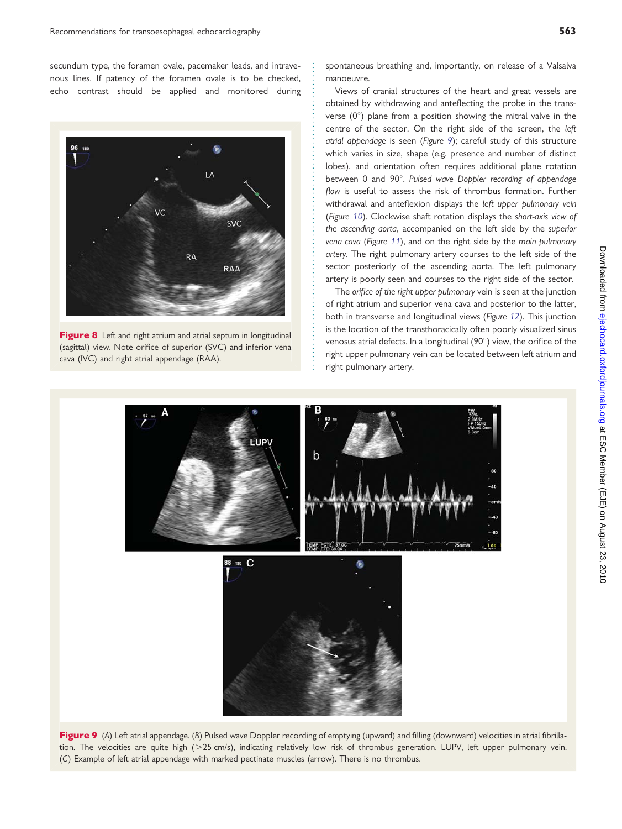<span id="page-6-0"></span>secundum type, the foramen ovale, pacemaker leads, and intravenous lines. If patency of the foramen ovale is to be checked, echo contrast should be applied and monitored during



Figure 8 Left and right atrium and atrial septum in longitudinal (sagittal) view. Note orifice of superior (SVC) and inferior vena cava (IVC) and right atrial appendage (RAA).

spontaneous breathing and, importantly, on release of a Valsalva manoeuvre.

Views of cranial structures of the heart and great vessels are obtained by withdrawing and anteflecting the probe in the transverse  $(0^{\circ})$  plane from a position showing the mitral valve in the centre of the sector. On the right side of the screen, the left atrial appendage is seen (Figure 9); careful study of this structure which varies in size, shape (e.g. presence and number of distinct lobes), and orientation often requires additional plane rotation between 0 and 90°. Pulsed wave Doppler recording of appendage flow is useful to assess the risk of thrombus formation. Further withdrawal and anteflexion displays the left upper pulmonary vein (Figure [10](#page-7-0)). Clockwise shaft rotation displays the short-axis view of the ascending aorta, accompanied on the left side by the superior vena cava (Figure [11](#page-7-0)), and on the right side by the main pulmonary artery. The right pulmonary artery courses to the left side of the sector posteriorly of the ascending aorta. The left pulmonary artery is poorly seen and courses to the right side of the sector.

The orifice of the right upper pulmonary vein is seen at the junction of right atrium and superior vena cava and posterior to the latter, both in transverse and longitudinal views (Figure [12](#page-7-0)). This junction is the location of the transthoracically often poorly visualized sinus venosus atrial defects. In a longitudinal  $(90^{\circ})$  view, the orifice of the right upper pulmonary vein can be located between left atrium and right pulmonary artery.



Figure 9 (A) Left atrial appendage. (B) Pulsed wave Doppler recording of emptying (upward) and filling (downward) velocities in atrial fibrillation. The velocities are quite high (>25 cm/s), indicating relatively low risk of thrombus generation. LUPV, left upper pulmonary vein. (C) Example of left atrial appendage with marked pectinate muscles (arrow). There is no thrombus.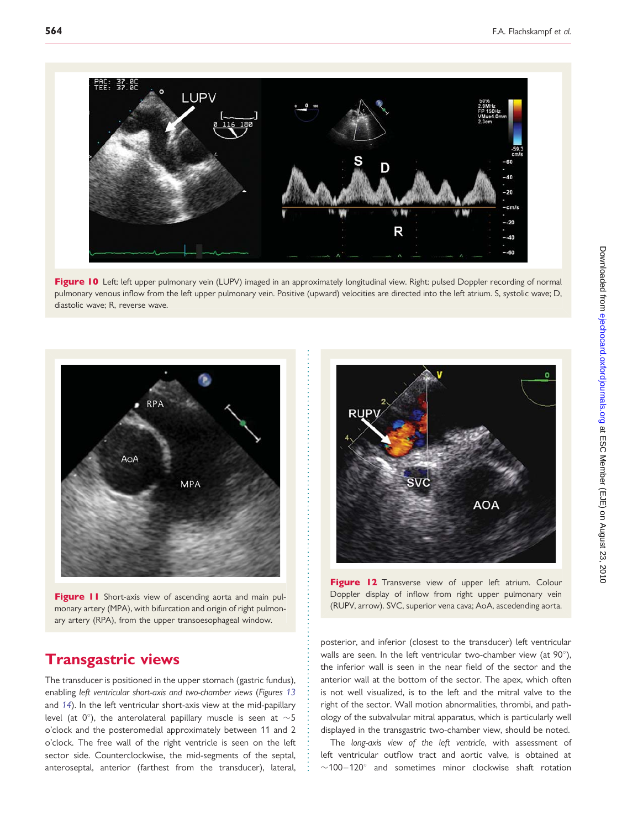<span id="page-7-0"></span>

Figure 10 Left: left upper pulmonary vein (LUPV) imaged in an approximately longitudinal view. Right: pulsed Doppler recording of normal pulmonary venous inflow from the left upper pulmonary vein. Positive (upward) velocities are directed into the left atrium. S, systolic wave; D, diastolic wave; R, reverse wave.



Figure 11 Short-axis view of ascending aorta and main pulmonary artery (MPA), with bifurcation and origin of right pulmonary artery (RPA), from the upper transoesophageal window.

# Transgastric views

The transducer is positioned in the upper stomach (gastric fundus), enabling left ventricular short-axis and two-chamber views (Figures [13](#page-8-0) and [14](#page-8-0)). In the left ventricular short-axis view at the mid-papillary level (at 0°), the anterolateral papillary muscle is seen at  $\sim$ 5 o'clock and the posteromedial approximately between 11 and 2 o'clock. The free wall of the right ventricle is seen on the left sector side. Counterclockwise, the mid-segments of the septal, anteroseptal, anterior (farthest from the transducer), lateral,



Figure 12 Transverse view of upper left atrium. Colour Doppler display of inflow from right upper pulmonary vein (RUPV, arrow). SVC, superior vena cava; AoA, ascedending aorta.

posterior, and inferior (closest to the transducer) left ventricular walls are seen. In the left ventricular two-chamber view (at  $90^{\circ}$ ), the inferior wall is seen in the near field of the sector and the anterior wall at the bottom of the sector. The apex, which often is not well visualized, is to the left and the mitral valve to the right of the sector. Wall motion abnormalities, thrombi, and pathology of the subvalvular mitral apparatus, which is particularly well displayed in the transgastric two-chamber view, should be noted.

The long-axis view of the left ventricle, with assessment of left ventricular outflow tract and aortic valve, is obtained at  $\sim$ 100–120 $^{\circ}$  and sometimes minor clockwise shaft rotation

Downloaded from [ejechocard.oxfordjournals.org](http://ejechocard.oxfordjournals.org/) at ESC Member (EJE) on August 23, 2010

Downloaded from ejechocard.oxfordjournals.org at ESC Member (EJE) on August 23, 2010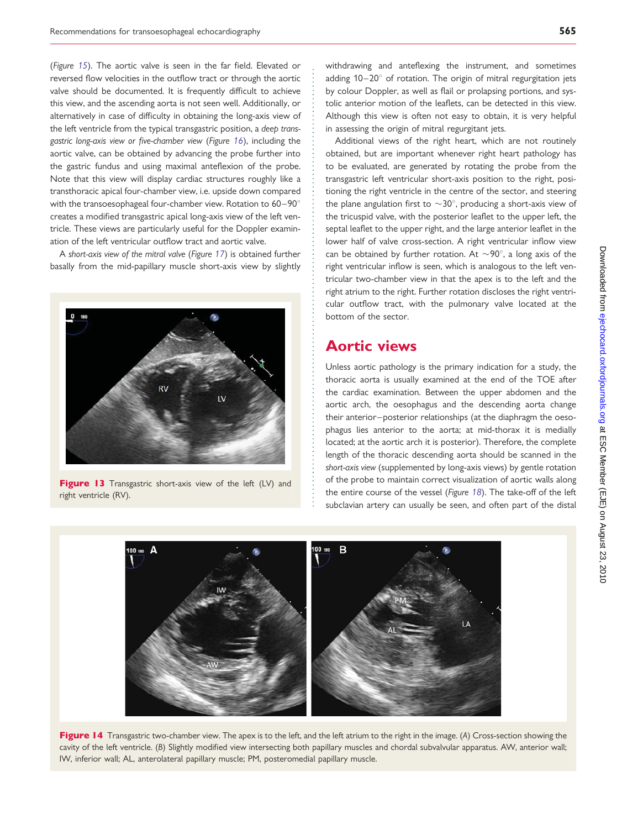<span id="page-8-0"></span>(Figure [15](#page-9-0)). The aortic valve is seen in the far field. Elevated or reversed flow velocities in the outflow tract or through the aortic valve should be documented. It is frequently difficult to achieve this view, and the ascending aorta is not seen well. Additionally, or alternatively in case of difficulty in obtaining the long-axis view of the left ventricle from the typical transgastric position, a deep transgastric long-axis view or five-chamber view (Figure [16](#page-9-0)), including the aortic valve, can be obtained by advancing the probe further into the gastric fundus and using maximal anteflexion of the probe. Note that this view will display cardiac structures roughly like a transthoracic apical four-chamber view, i.e. upside down compared with the transoesophageal four-chamber view. Rotation to  $60-90^\circ$ creates a modified transgastric apical long-axis view of the left ventricle. These views are particularly useful for the Doppler examination of the left ventricular outflow tract and aortic valve.

A short-axis view of the mitral valve (Figure [17](#page-9-0)) is obtained further basally from the mid-papillary muscle short-axis view by slightly



Figure 13 Transgastric short-axis view of the left (LV) and right ventricle (RV).

withdrawing and anteflexing the instrument, and sometimes adding  $10-20^\circ$  of rotation. The origin of mitral regurgitation jets by colour Doppler, as well as flail or prolapsing portions, and systolic anterior motion of the leaflets, can be detected in this view. Although this view is often not easy to obtain, it is very helpful in assessing the origin of mitral regurgitant jets.

Additional views of the right heart, which are not routinely obtained, but are important whenever right heart pathology has to be evaluated, are generated by rotating the probe from the transgastric left ventricular short-axis position to the right, positioning the right ventricle in the centre of the sector, and steering the plane angulation first to  $\sim$ 30 $^{\circ}$ , producing a short-axis view of the tricuspid valve, with the posterior leaflet to the upper left, the septal leaflet to the upper right, and the large anterior leaflet in the lower half of valve cross-section. A right ventricular inflow view can be obtained by further rotation. At  $\sim$ 90 $^{\circ}$ , a long axis of the right ventricular inflow is seen, which is analogous to the left ventricular two-chamber view in that the apex is to the left and the right atrium to the right. Further rotation discloses the right ventricular outflow tract, with the pulmonary valve located at the bottom of the sector.

### Aortic views

Unless aortic pathology is the primary indication for a study, the thoracic aorta is usually examined at the end of the TOE after the cardiac examination. Between the upper abdomen and the aortic arch, the oesophagus and the descending aorta change their anterior–posterior relationships (at the diaphragm the oesophagus lies anterior to the aorta; at mid-thorax it is medially located; at the aortic arch it is posterior). Therefore, the complete length of the thoracic descending aorta should be scanned in the short-axis view (supplemented by long-axis views) by gentle rotation of the probe to maintain correct visualization of aortic walls along the entire course of the vessel (Figure [18](#page-10-0)). The take-off of the left subclavian artery can usually be seen, and often part of the distal



Figure 14 Transgastric two-chamber view. The apex is to the left, and the left atrium to the right in the image. (A) Cross-section showing the cavity of the left ventricle. (B) Slightly modified view intersecting both papillary muscles and chordal subvalvular apparatus. AW, anterior wall; IW, inferior wall; AL, anterolateral papillary muscle; PM, posteromedial papillary muscle.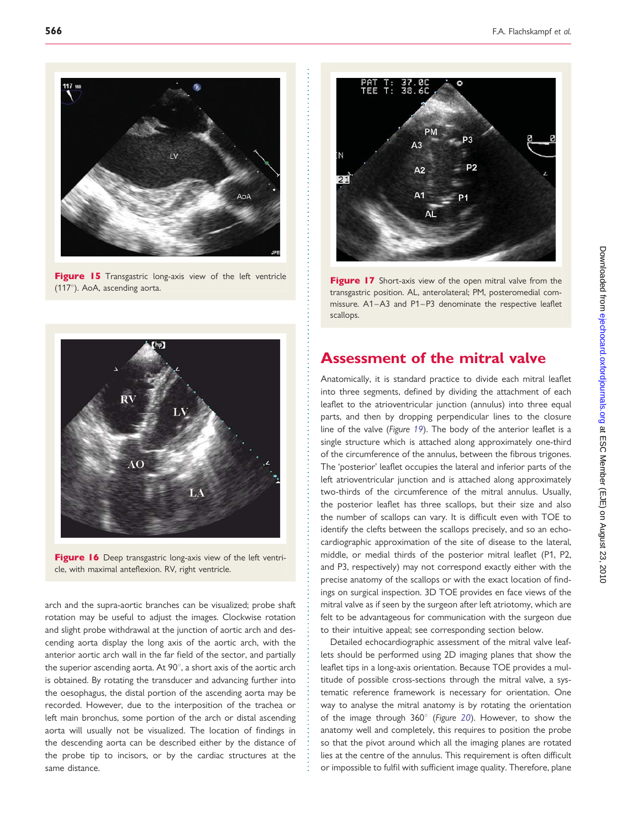Figure 15 Transgastric long-axis view of the left ventricle **Figure 13** Transgastric long-axis view of the left ventricle<br>  $(117^\circ)$ . AoA, ascending aorta.<br> **Figure 17** Short-axis view of the open mitral valve from the transparticle position. All enterprished in the process of the

ΓV

### Assessment of the mitral valve

transgastric position. AL, anterolateral; PM, posteromedial commissure. A1–A3 and P1–P3 denominate the respective leaflet

Anatomically, it is standard practice to divide each mitral leaflet into three segments, defined by dividing the attachment of each leaflet to the atrioventricular junction (annulus) into three equal parts, and then by dropping perpendicular lines to the closure line of the valve (Figure [19](#page-10-0)). The body of the anterior leaflet is a single structure which is attached along approximately one-third of the circumference of the annulus, between the fibrous trigones. The 'posterior' leaflet occupies the lateral and inferior parts of the left atrioventricular junction and is attached along approximately two-thirds of the circumference of the mitral annulus. Usually, the posterior leaflet has three scallops, but their size and also the number of scallops can vary. It is difficult even with TOE to identify the clefts between the scallops precisely, and so an echocardiographic approximation of the site of disease to the lateral, middle, or medial thirds of the posterior mitral leaflet (P1, P2, and P3, respectively) may not correspond exactly either with the precise anatomy of the scallops or with the exact location of findings on surgical inspection. 3D TOE provides en face views of the mitral valve as if seen by the surgeon after left atriotomy, which are felt to be advantageous for communication with the surgeon due to their intuitive appeal; see corresponding section below.

Detailed echocardiographic assessment of the mitral valve leaflets should be performed using 2D imaging planes that show the leaflet tips in a long-axis orientation. Because TOE provides a multitude of possible cross-sections through the mitral valve, a systematic reference framework is necessary for orientation. One way to analyse the mitral anatomy is by rotating the orientation of the image through  $360^\circ$  (Figure [20](#page-11-0)). However, to show the anatomy well and completely, this requires to position the probe so that the pivot around which all the imaging planes are rotated lies at the centre of the annulus. This requirement is often difficult or impossible to fulfil with sufficient image quality. Therefore, plane

Figure 16 Deep transgastric long-axis view of the left ventricle, with maximal anteflexion. RV, right ventricle.

LA

 $\sqrt{C}$ 

arch and the supra-aortic branches can be visualized; probe shaft rotation may be useful to adjust the images. Clockwise rotation and slight probe withdrawal at the junction of aortic arch and descending aorta display the long axis of the aortic arch, with the anterior aortic arch wall in the far field of the sector, and partially the superior ascending aorta. At  $90^\circ$ , a short axis of the aortic arch is obtained. By rotating the transducer and advancing further into the oesophagus, the distal portion of the ascending aorta may be recorded. However, due to the interposition of the trachea or left main bronchus, some portion of the arch or distal ascending aorta will usually not be visualized. The location of findings in the descending aorta can be described either by the distance of the probe tip to incisors, or by the cardiac structures at the same distance.

<span id="page-9-0"></span>

scallops.

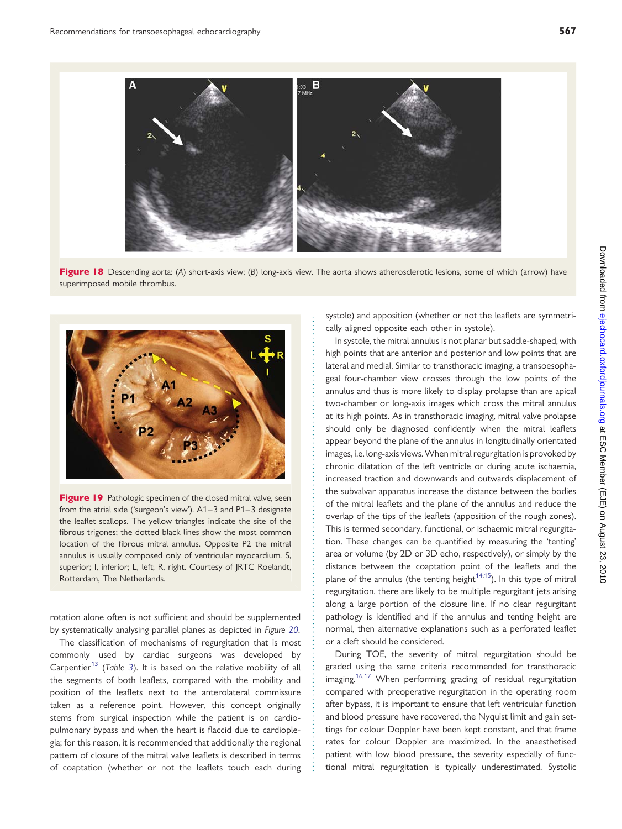<span id="page-10-0"></span>

Figure 18 Descending aorta: (A) short-axis view; (B) long-axis view. The aorta shows atherosclerotic lesions, some of which (arrow) have superimposed mobile thrombus.



Figure 19 Pathologic specimen of the closed mitral valve, seen from the atrial side ('surgeon's view'). A1–3 and P1–3 designate the leaflet scallops. The yellow triangles indicate the site of the fibrous trigones; the dotted black lines show the most common location of the fibrous mitral annulus. Opposite P2 the mitral annulus is usually composed only of ventricular myocardium. S, superior; I, inferior; L, left; R, right. Courtesy of JRTC Roelandt, Rotterdam, The Netherlands.

rotation alone often is not sufficient and should be supplemented by systematically analysing parallel planes as depicted in Figure [20](#page-11-0).

The classification of mechanisms of regurgitation that is most commonly used by cardiac surgeons was developed by Carpentier<sup>1[3](#page-12-0)</sup> (Table 3). It is based on the relative mobility of all the segments of both leaflets, compared with the mobility and position of the leaflets next to the anterolateral commissure taken as a reference point. However, this concept originally stems from surgical inspection while the patient is on cardiopulmonary bypass and when the heart is flaccid due to cardioplegia; for this reason, it is recommended that additionally the regional pattern of closure of the mitral valve leaflets is described in terms of coaptation (whether or not the leaflets touch each during systole) and apposition (whether or not the leaflets are symmetrically aligned opposite each other in systole).

In systole, the mitral annulus is not planar but saddle-shaped, with high points that are anterior and posterior and low points that are lateral and medial. Similar to transthoracic imaging, a transoesophageal four-chamber view crosses through the low points of the annulus and thus is more likely to display prolapse than are apical two-chamber or long-axis images which cross the mitral annulus at its high points. As in transthoracic imaging, mitral valve prolapse should only be diagnosed confidently when the mitral leaflets appear beyond the plane of the annulus in longitudinally orientated images, i.e. long-axis views. When mitral regurgitation is provoked by chronic dilatation of the left ventricle or during acute ischaemia, increased traction and downwards and outwards displacement of the subvalvar apparatus increase the distance between the bodies of the mitral leaflets and the plane of the annulus and reduce the overlap of the tips of the leaflets (apposition of the rough zones). This is termed secondary, functional, or ischaemic mitral regurgitation. These changes can be quantified by measuring the 'tenting' area or volume (by 2D or 3D echo, respectively), or simply by the distance between the coaptation point of the leaflets and the plane of the annulus (the tenting height<sup>[14](#page-18-0),[15](#page-18-0)</sup>). In this type of mitral regurgitation, there are likely to be multiple regurgitant jets arising along a large portion of the closure line. If no clear regurgitant pathology is identified and if the annulus and tenting height are normal, then alternative explanations such as a perforated leaflet or a cleft should be considered.

During TOE, the severity of mitral regurgitation should be graded using the same criteria recommended for transthoracic imaging.<sup>[16](#page-18-0),[17](#page-18-0)</sup> When performing grading of residual regurgitation compared with preoperative regurgitation in the operating room after bypass, it is important to ensure that left ventricular function and blood pressure have recovered, the Nyquist limit and gain settings for colour Doppler have been kept constant, and that frame rates for colour Doppler are maximized. In the anaesthetised patient with low blood pressure, the severity especially of functional mitral regurgitation is typically underestimated. Systolic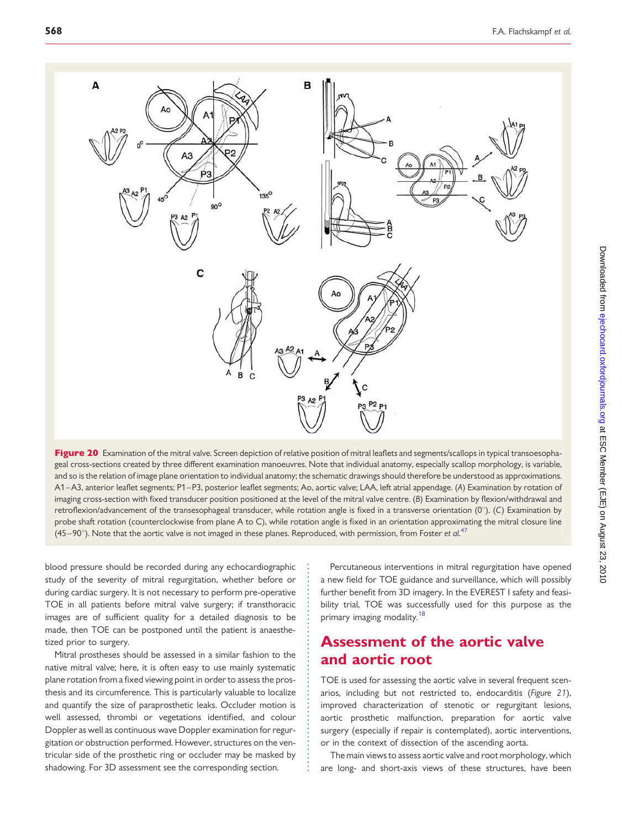<span id="page-11-0"></span>

Figure 20 Examination of the mitral valve. Screen depiction of relative position of mitral leaflets and segments/scallops in typical transoesophageal cross-sections created by three different examination manoeuvres. Note that individual anatomy, especially scallop morphology, is variable, and so is the relation of image plane orientation to individual anatomy; the schematic drawings should therefore be understood as approximations. A1–A3, anterior leaflet segments; P1–P3, posterior leaflet segments; Ao, aortic valve; LAA, left atrial appendage. (A) Examination by rotation of imaging cross-section with fixed transducer position positioned at the level of the mitral valve centre. (B) Examination by flexion/withdrawal and retroflexion/advancement of the transesophageal transducer, while rotation angle is fixed in a transverse orientation  $(0^{\circ})$ . (C) Examination by probe shaft rotation (counterclockwise from plane A to C), while rotation angle is fixed in an orientation approximating the mitral closure line (45–90°). Note that the aortic valve is not imaged in these planes. Reproduced, with permission, from Foster et al.<sup>[47](#page-19-0)</sup>

blood pressure should be recorded during any echocardiographic study of the severity of mitral regurgitation, whether before or during cardiac surgery. It is not necessary to perform pre-operative TOE in all patients before mitral valve surgery; if transthoracic images are of sufficient quality for a detailed diagnosis to be made, then TOE can be postponed until the patient is anaesthetized prior to surgery.

Mitral prostheses should be assessed in a similar fashion to the native mitral valve; here, it is often easy to use mainly systematic plane rotation from a fixed viewing point in order to assess the prosthesis and its circumference. This is particularly valuable to localize and quantify the size of paraprosthetic leaks. Occluder motion is well assessed, thrombi or vegetations identified, and colour Doppler as well as continuous wave Doppler examination for regurgitation or obstruction performed. However, structures on the ventricular side of the prosthetic ring or occluder may be masked by shadowing. For 3D assessment see the corresponding section.

Percutaneous interventions in mitral regurgitation have opened a new field for TOE guidance and surveillance, which will possibly further benefit from 3D imagery. In the EVEREST I safety and feasibility trial, TOE was successfully used for this purpose as the primary imaging modality.[18](#page-18-0)

# Assessment of the aortic valve and aortic root

TOE is used for assessing the aortic valve in several frequent scenarios, including but not restricted to, endocarditis (Figure [21](#page-12-0)), improved characterization of stenotic or regurgitant lesions, aortic prosthetic malfunction, preparation for aortic valve surgery (especially if repair is contemplated), aortic interventions, or in the context of dissection of the ascending aorta.

The main views to assess aortic valve and root morphology, which are long- and short-axis views of these structures, have been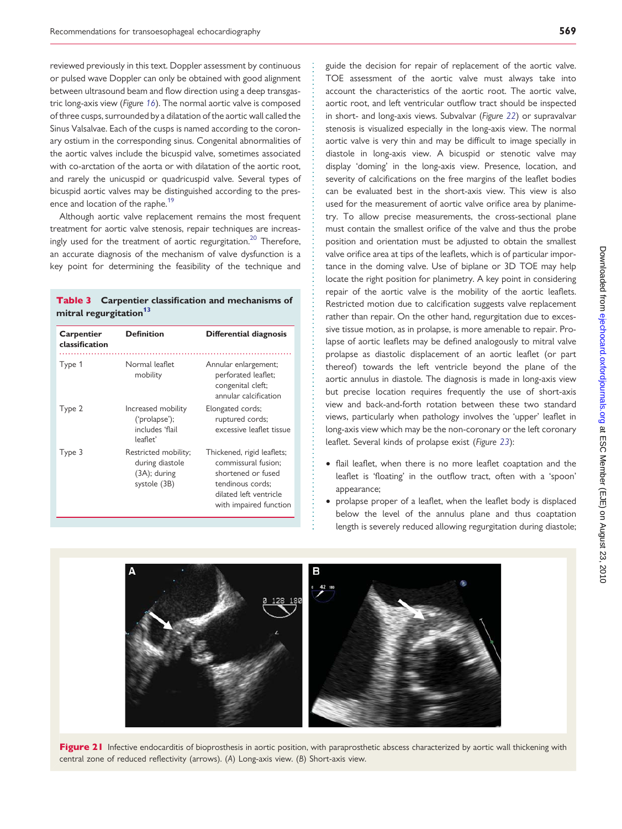<span id="page-12-0"></span>reviewed previously in this text. Doppler assessment by continuous or pulsed wave Doppler can only be obtained with good alignment between ultrasound beam and flow direction using a deep transgastric long-axis view (Figure [16](#page-9-0)). The normal aortic valve is composed of three cusps, surrounded by a dilatation of the aortic wall called the Sinus Valsalvae. Each of the cusps is named according to the coronary ostium in the corresponding sinus. Congenital abnormalities of the aortic valves include the bicuspid valve, sometimes associated with co-arctation of the aorta or with dilatation of the aortic root, and rarely the unicuspid or quadricuspid valve. Several types of bicuspid aortic valves may be distinguished according to the presence and location of the raphe.<sup>19</sup>

Although aortic valve replacement remains the most frequent treatment for aortic valve stenosis, repair techniques are increasingly used for the treatment of aortic regurgitation.<sup>20</sup> Therefore, an accurate diagnosis of the mechanism of valve dysfunction is a key point for determining the feasibility of the technique and

#### Table 3 Carpentier classification and mechanisms of mitral regurgitation $13$

| Carpentier<br>classification | <b>Definition</b>                                                          | Differential diagnosis                                                                                                                          |
|------------------------------|----------------------------------------------------------------------------|-------------------------------------------------------------------------------------------------------------------------------------------------|
| Type 1                       | Normal leaflet<br>mobility                                                 | Annular enlargement;<br>perforated leaflet;<br>congenital cleft;<br>annular calcification                                                       |
| Type 2                       | Increased mobility<br>('prolapse');<br>includes 'flail<br>leaflet'         | Elongated cords;<br>ruptured cords;<br>excessive leaflet tissue                                                                                 |
| Type 3                       | Restricted mobility;<br>during diastole<br>$(3A)$ ; during<br>systole (3B) | Thickened, rigid leaflets;<br>commissural fusion:<br>shortened or fused<br>tendinous cords;<br>dilated left ventricle<br>with impaired function |

guide the decision for repair of replacement of the aortic valve. TOE assessment of the aortic valve must always take into account the characteristics of the aortic root. The aortic valve, aortic root, and left ventricular outflow tract should be inspected in short- and long-axis views. Subvalvar (Figure [22](#page-13-0)) or supravalvar stenosis is visualized especially in the long-axis view. The normal aortic valve is very thin and may be difficult to image specially in diastole in long-axis view. A bicuspid or stenotic valve may display 'doming' in the long-axis view. Presence, location, and severity of calcifications on the free margins of the leaflet bodies can be evaluated best in the short-axis view. This view is also used for the measurement of aortic valve orifice area by planimetry. To allow precise measurements, the cross-sectional plane must contain the smallest orifice of the valve and thus the probe position and orientation must be adjusted to obtain the smallest valve orifice area at tips of the leaflets, which is of particular importance in the doming valve. Use of biplane or 3D TOE may help locate the right position for planimetry. A key point in considering repair of the aortic valve is the mobility of the aortic leaflets. Restricted motion due to calcification suggests valve replacement rather than repair. On the other hand, regurgitation due to excessive tissue motion, as in prolapse, is more amenable to repair. Prolapse of aortic leaflets may be defined analogously to mitral valve prolapse as diastolic displacement of an aortic leaflet (or part thereof) towards the left ventricle beyond the plane of the aortic annulus in diastole. The diagnosis is made in long-axis view but precise location requires frequently the use of short-axis view and back-and-forth rotation between these two standard views, particularly when pathology involves the 'upper' leaflet in long-axis view which may be the non-coronary or the left coronary leaflet. Several kinds of prolapse exist (Figure [23](#page-13-0)):

- flail leaflet, when there is no more leaflet coaptation and the leaflet is 'floating' in the outflow tract, often with a 'spoon' appearance;
- prolapse proper of a leaflet, when the leaflet body is displaced below the level of the annulus plane and thus coaptation length is severely reduced allowing regurgitation during diastole;



Figure 21 Infective endocarditis of bioprosthesis in aortic position, with paraprosthetic abscess characterized by aortic wall thickening with central zone of reduced reflectivity (arrows). (A) Long-axis view. (B) Short-axis view.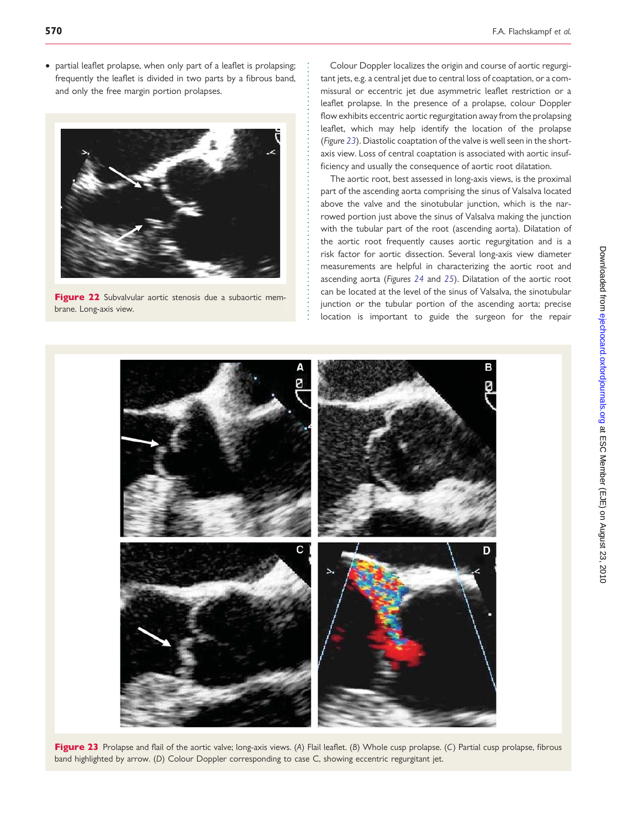<span id="page-13-0"></span>• partial leaflet prolapse, when only part of a leaflet is prolapsing; frequently the leaflet is divided in two parts by a fibrous band, and only the free margin portion prolapses.



Figure 22 Subvalvular aortic stenosis due a subaortic membrane. Long-axis view.

Colour Doppler localizes the origin and course of aortic regurgitant jets, e.g. a central jet due to central loss of coaptation, or a commissural or eccentric jet due asymmetric leaflet restriction or a leaflet prolapse. In the presence of a prolapse, colour Doppler flow exhibits eccentric aortic regurgitation away from the prolapsing leaflet, which may help identify the location of the prolapse (Figure 23). Diastolic coaptation of the valve is well seen in the shortaxis view. Loss of central coaptation is associated with aortic insufficiency and usually the consequence of aortic root dilatation.

The aortic root, best assessed in long-axis views, is the proximal part of the ascending aorta comprising the sinus of Valsalva located above the valve and the sinotubular junction, which is the narrowed portion just above the sinus of Valsalva making the junction with the tubular part of the root (ascending aorta). Dilatation of the aortic root frequently causes aortic regurgitation and is a risk factor for aortic dissection. Several long-axis view diameter measurements are helpful in characterizing the aortic root and ascending aorta (Figures [24](#page-14-0) and [25](#page-14-0)). Dilatation of the aortic root can be located at the level of the sinus of Valsalva, the sinotubular junction or the tubular portion of the ascending aorta; precise location is important to guide the surgeon for the repair



Figure 23 Prolapse and flail of the aortic valve; long-axis views. (A) Flail leaflet. (B) Whole cusp prolapse. (C) Partial cusp prolapse, fibrous band highlighted by arrow. (D) Colour Doppler corresponding to case C, showing eccentric regurgitant jet.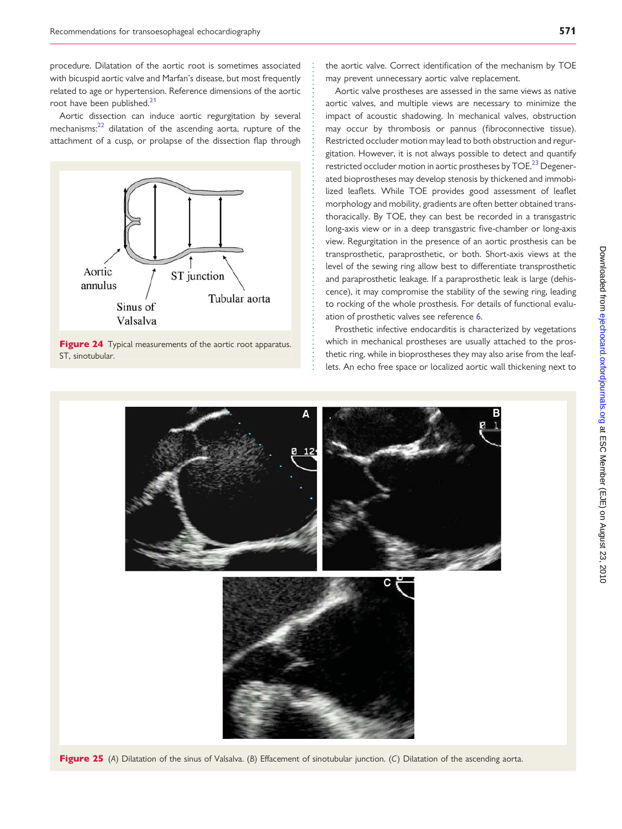<span id="page-14-0"></span>procedure. Dilatation of the aortic root is sometimes associated with bicuspid aortic valve and Marfan's disease, but most frequently related to age or hypertension. Reference dimensions of the aortic root have been published.<sup>21</sup>

Aortic dissection can induce aortic regurgitation by several mechanisms[:22](#page-18-0) dilatation of the ascending aorta, rupture of the attachment of a cusp, or prolapse of the dissection flap through



Figure 24 Typical measurements of the aortic root apparatus. ST, sinotubular.

the aortic valve. Correct identification of the mechanism by TOE may prevent unnecessary aortic valve replacement.

Aortic valve prostheses are assessed in the same views as native aortic valves, and multiple views are necessary to minimize the impact of acoustic shadowing. In mechanical valves, obstruction may occur by thrombosis or pannus (fibroconnective tissue). Restricted occluder motion may lead to both obstruction and regurgitation. However, it is not always possible to detect and quantify restricted occluder motion in aortic prostheses by TOE.<sup>23</sup> Degenerated bioprostheses may develop stenosis by thickened and immobilized leaflets. While TOE provides good assessment of leaflet morphology and mobility, gradients are often better obtained transthoracically. By TOE, they can best be recorded in a transgastric long-axis view or in a deep transgastric five-chamber or long-axis view. Regurgitation in the presence of an aortic prosthesis can be transprosthetic, paraprosthetic, or both. Short-axis views at the level of the sewing ring allow best to differentiate transprosthetic and paraprosthetic leakage. If a paraprosthetic leak is large (dehiscence), it may compromise the stability of the sewing ring, leading to rocking of the whole prosthesis. For details of functional evaluation of prosthetic valves see reference [6.](#page-18-0)

Prosthetic infective endocarditis is characterized by vegetations which in mechanical prostheses are usually attached to the prosthetic ring, while in bioprostheses they may also arise from the leaflets. An echo free space or localized aortic wall thickening next to



Figure 25 (A) Dilatation of the sinus of Valsalva. (B) Effacement of sinotubular junction. (C) Dilatation of the ascending aorta.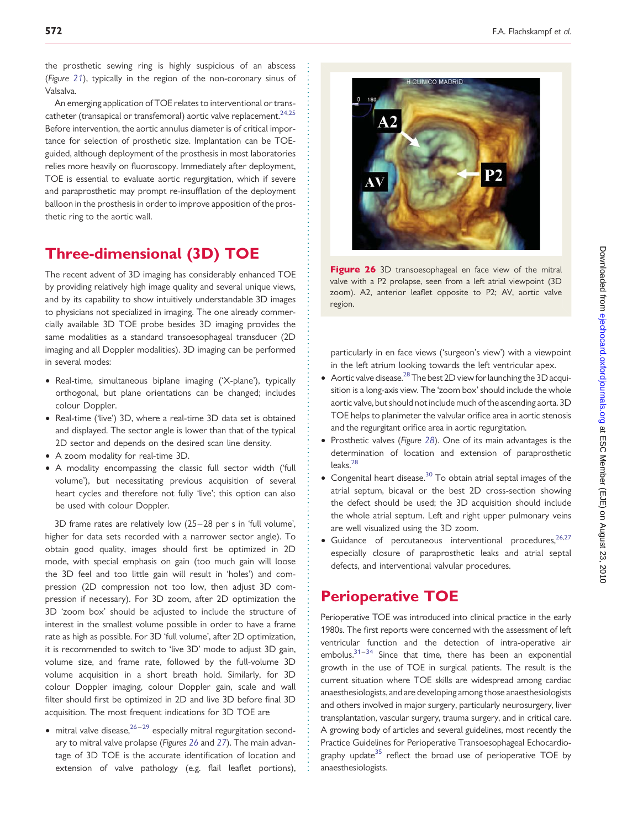the prosthetic sewing ring is highly suspicious of an abscess (Figure [21](#page-12-0)), typically in the region of the non-coronary sinus of Valsalva.

An emerging application of TOE relates to interventional or transcatheter (transapical or transfemoral) aortic valve replacement.<sup>24,25</sup> Before intervention, the aortic annulus diameter is of critical importance for selection of prosthetic size. Implantation can be TOEguided, although deployment of the prosthesis in most laboratories relies more heavily on fluoroscopy. Immediately after deployment, TOE is essential to evaluate aortic regurgitation, which if severe and paraprosthetic may prompt re-insufflation of the deployment balloon in the prosthesis in order to improve apposition of the prosthetic ring to the aortic wall.

# Three-dimensional (3D) TOE

The recent advent of 3D imaging has considerably enhanced TOE by providing relatively high image quality and several unique views, and by its capability to show intuitively understandable 3D images to physicians not specialized in imaging. The one already commercially available 3D TOE probe besides 3D imaging provides the same modalities as a standard transoesophageal transducer (2D imaging and all Doppler modalities). 3D imaging can be performed in several modes:

- Real-time, simultaneous biplane imaging ('X-plane'), typically orthogonal, but plane orientations can be changed; includes colour Doppler.
- Real-time ('live') 3D, where a real-time 3D data set is obtained and displayed. The sector angle is lower than that of the typical 2D sector and depends on the desired scan line density.
- † A zoom modality for real-time 3D.
- A modality encompassing the classic full sector width ('full volume'), but necessitating previous acquisition of several heart cycles and therefore not fully 'live'; this option can also be used with colour Doppler.

3D frame rates are relatively low (25–28 per s in 'full volume', higher for data sets recorded with a narrower sector angle). To obtain good quality, images should first be optimized in 2D mode, with special emphasis on gain (too much gain will loose the 3D feel and too little gain will result in 'holes') and compression (2D compression not too low, then adjust 3D compression if necessary). For 3D zoom, after 2D optimization the 3D 'zoom box' should be adjusted to include the structure of interest in the smallest volume possible in order to have a frame rate as high as possible. For 3D 'full volume', after 2D optimization, it is recommended to switch to 'live 3D' mode to adjust 3D gain, volume size, and frame rate, followed by the full-volume 3D volume acquisition in a short breath hold. Similarly, for 3D colour Doppler imaging, colour Doppler gain, scale and wall filter should first be optimized in 2D and live 3D before final 3D acquisition. The most frequent indications for 3D TOE are

• mitral valve disease,  $26 - 29$  $26 - 29$  especially mitral regurgitation secondary to mitral valve prolapse (Figures 26 and [27](#page-16-0)). The main advantage of 3D TOE is the accurate identification of location and extension of valve pathology (e.g. flail leaflet portions),



Figure 26 3D transoesophageal en face view of the mitral valve with a P2 prolapse, seen from a left atrial viewpoint (3D zoom). A2, anterior leaflet opposite to P2; AV, aortic valve region.

particularly in en face views ('surgeon's view') with a viewpoint in the left atrium looking towards the left ventricular apex.

- $\bullet$  Aortic valve disease.<sup>28</sup> The best 2D view for launching the 3D acquisition is a long-axis view. The 'zoom box' should include the whole aortic valve, but should not include much of the ascending aorta. 3D TOE helps to planimeter the valvular orifice area in aortic stenosis and the regurgitant orifice area in aortic regurgitation.
- Prosthetic valves (Figure [28](#page-16-0)). One of its main advantages is the determination of location and extension of paraprosthetic  $leaks.<sup>28</sup>$  $leaks.<sup>28</sup>$  $leaks.<sup>28</sup>$
- $\bullet$  Congenital heart disease.<sup>[30](#page-18-0)</sup> To obtain atrial septal images of the atrial septum, bicaval or the best 2D cross-section showing the defect should be used; the 3D acquisition should include the whole atrial septum. Left and right upper pulmonary veins are well visualized using the 3D zoom.
- $\bullet$  Guidance of percutaneous interventional procedures,  $26.27$  $26.27$ especially closure of paraprosthetic leaks and atrial septal defects, and interventional valvular procedures.

# Perioperative TOE

Perioperative TOE was introduced into clinical practice in the early 1980s. The first reports were concerned with the assessment of left ventricular function and the detection of intra-operative air  $embolus.<sup>31–34</sup>$  $embolus.<sup>31–34</sup>$  $embolus.<sup>31–34</sup>$  Since that time, there has been an exponential growth in the use of TOE in surgical patients. The result is the current situation where TOE skills are widespread among cardiac anaesthesiologists, and are developing among those anaesthesiologists and others involved in major surgery, particularly neurosurgery, liver transplantation, vascular surgery, trauma surgery, and in critical care. A growing body of articles and several guidelines, most recently the Practice Guidelines for Perioperative Transoesophageal Echocardiography update $35$  reflect the broad use of perioperative TOE by anaesthesiologists.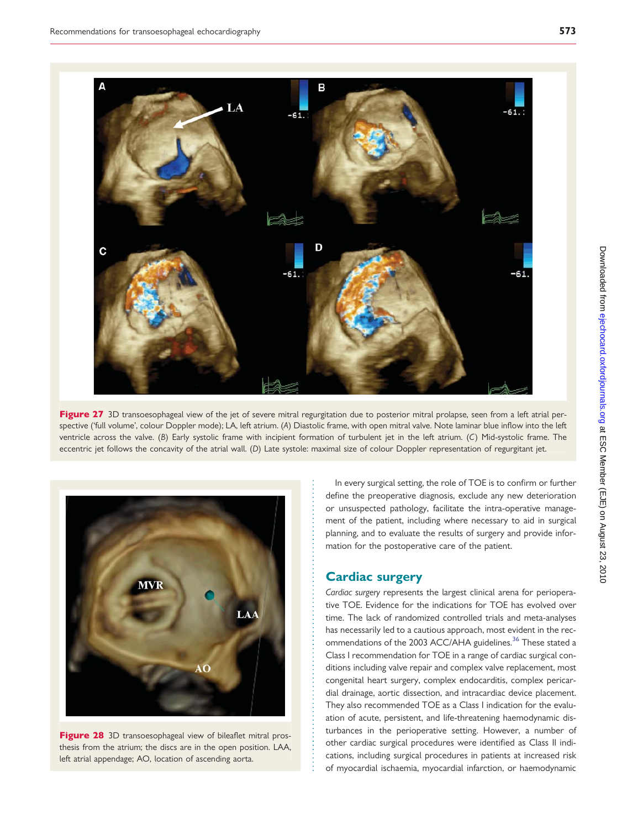<span id="page-16-0"></span>





Figure 28 3D transoesophageal view of bileaflet mitral prosthesis from the atrium; the discs are in the open position. LAA, left atrial appendage; AO, location of ascending aorta.

In every surgical setting, the role of TOE is to confirm or further define the preoperative diagnosis, exclude any new deterioration or unsuspected pathology, facilitate the intra-operative management of the patient, including where necessary to aid in surgical planning, and to evaluate the results of surgery and provide information for the postoperative care of the patient.

### Cardiac surgery

Cardiac surgery represents the largest clinical arena for perioperative TOE. Evidence for the indications for TOE has evolved over time. The lack of randomized controlled trials and meta-analyses has necessarily led to a cautious approach, most evident in the rec-ommendations of the 2003 ACC/AHA guidelines.<sup>[36](#page-18-0)</sup> These stated a Class I recommendation for TOE in a range of cardiac surgical conditions including valve repair and complex valve replacement, most congenital heart surgery, complex endocarditis, complex pericardial drainage, aortic dissection, and intracardiac device placement. They also recommended TOE as a Class I indication for the evaluation of acute, persistent, and life-threatening haemodynamic disturbances in the perioperative setting. However, a number of other cardiac surgical procedures were identified as Class II indications, including surgical procedures in patients at increased risk of myocardial ischaemia, myocardial infarction, or haemodynamic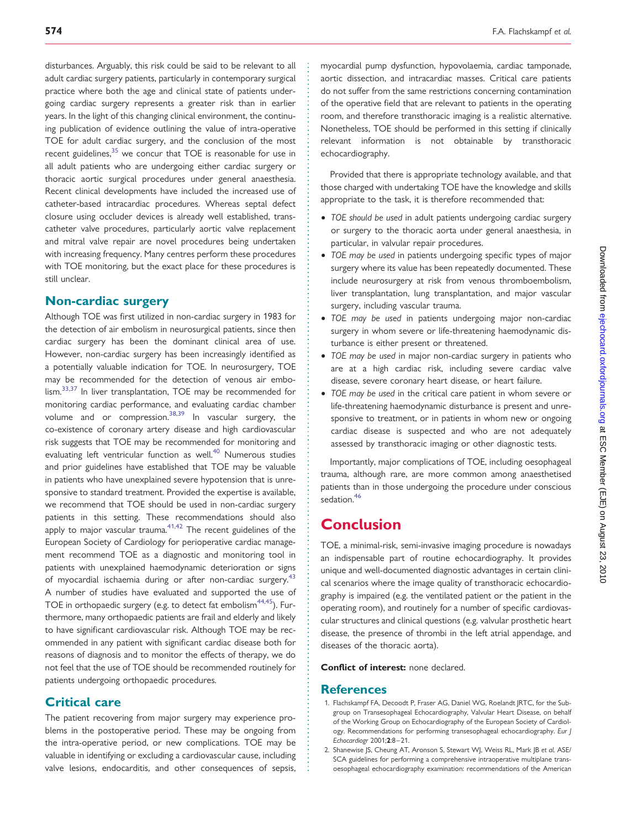<span id="page-17-0"></span>disturbances. Arguably, this risk could be said to be relevant to all adult cardiac surgery patients, particularly in contemporary surgical practice where both the age and clinical state of patients undergoing cardiac surgery represents a greater risk than in earlier years. In the light of this changing clinical environment, the continuing publication of evidence outlining the value of intra-operative TOE for adult cardiac surgery, and the conclusion of the most recent guidelines, $35$  we concur that TOE is reasonable for use in all adult patients who are undergoing either cardiac surgery or thoracic aortic surgical procedures under general anaesthesia. Recent clinical developments have included the increased use of catheter-based intracardiac procedures. Whereas septal defect closure using occluder devices is already well established, transcatheter valve procedures, particularly aortic valve replacement and mitral valve repair are novel procedures being undertaken with increasing frequency. Many centres perform these procedures with TOE monitoring, but the exact place for these procedures is still unclear.

#### Non-cardiac surgery

Although TOE was first utilized in non-cardiac surgery in 1983 for the detection of air embolism in neurosurgical patients, since then cardiac surgery has been the dominant clinical area of use. However, non-cardiac surgery has been increasingly identified as a potentially valuable indication for TOE. In neurosurgery, TOE may be recommended for the detection of venous air embolism.[33,37](#page-18-0) In liver transplantation, TOE may be recommended for monitoring cardiac performance, and evaluating cardiac chamber volume and or compression.<sup>38,39</sup> In vascular surgery, the co-existence of coronary artery disease and high cardiovascular risk suggests that TOE may be recommended for monitoring and evaluating left ventricular function as well.<sup>[40](#page-18-0)</sup> Numerous studies and prior guidelines have established that TOE may be valuable in patients who have unexplained severe hypotension that is unresponsive to standard treatment. Provided the expertise is available, we recommend that TOE should be used in non-cardiac surgery patients in this setting. These recommendations should also apply to major vascular trauma. $41,42$  $41,42$  The recent guidelines of the European Society of Cardiology for perioperative cardiac management recommend TOE as a diagnostic and monitoring tool in patients with unexplained haemodynamic deterioration or signs of myocardial ischaemia during or after non-cardiac surgery.<sup>43</sup> A number of studies have evaluated and supported the use of TOE in orthopaedic surgery (e.g. to detect fat embolism<sup>[44,45](#page-19-0)</sup>). Furthermore, many orthopaedic patients are frail and elderly and likely to have significant cardiovascular risk. Although TOE may be recommended in any patient with significant cardiac disease both for reasons of diagnosis and to monitor the effects of therapy, we do not feel that the use of TOE should be recommended routinely for patients undergoing orthopaedic procedures.

#### Critical care

The patient recovering from major surgery may experience problems in the postoperative period. These may be ongoing from the intra-operative period, or new complications. TOE may be valuable in identifying or excluding a cardiovascular cause, including valve lesions, endocarditis, and other consequences of sepsis,

myocardial pump dysfunction, hypovolaemia, cardiac tamponade, aortic dissection, and intracardiac masses. Critical care patients do not suffer from the same restrictions concerning contamination of the operative field that are relevant to patients in the operating room, and therefore transthoracic imaging is a realistic alternative. Nonetheless, TOE should be performed in this setting if clinically relevant information is not obtainable by transthoracic echocardiography.

Provided that there is appropriate technology available, and that those charged with undertaking TOE have the knowledge and skills appropriate to the task, it is therefore recommended that:

- TOE should be used in adult patients undergoing cardiac surgery or surgery to the thoracic aorta under general anaesthesia, in particular, in valvular repair procedures.
- TOE may be used in patients undergoing specific types of major surgery where its value has been repeatedly documented. These include neurosurgery at risk from venous thromboembolism, liver transplantation, lung transplantation, and major vascular surgery, including vascular trauma.
- TOE may be used in patients undergoing major non-cardiac surgery in whom severe or life-threatening haemodynamic disturbance is either present or threatened.
- TOE may be used in major non-cardiac surgery in patients who are at a high cardiac risk, including severe cardiac valve disease, severe coronary heart disease, or heart failure.
- TOE may be used in the critical care patient in whom severe or life-threatening haemodynamic disturbance is present and unresponsive to treatment, or in patients in whom new or ongoing cardiac disease is suspected and who are not adequately assessed by transthoracic imaging or other diagnostic tests.

Importantly, major complications of TOE, including oesophageal trauma, although rare, are more common among anaesthetised patients than in those undergoing the procedure under conscious sedation.<sup>[46](#page-19-0)</sup>

### Conclusion

TOE, a minimal-risk, semi-invasive imaging procedure is nowadays an indispensable part of routine echocardiography. It provides unique and well-documented diagnostic advantages in certain clinical scenarios where the image quality of transthoracic echocardiography is impaired (e.g. the ventilated patient or the patient in the operating room), and routinely for a number of specific cardiovascular structures and clinical questions (e.g. valvular prosthetic heart disease, the presence of thrombi in the left atrial appendage, and diseases of the thoracic aorta).

#### Conflict of interest: none declared.

#### **References**

- 1. Flachskampf FA, Decoodt P, Fraser AG, Daniel WG, Roelandt JRTC, for the Subgroup on Transesophageal Echocardiography, Valvular Heart Disease, on behalf of the Working Group on Echocardiography of the European Society of Cardiology. Recommendations for performing transesophageal echocardiography. Eur J Echocardiogr 2001;2:8–21.
- 2. Shanewise JS, Cheung AT, Aronson S, Stewart WJ, Weiss RL, Mark JB et al. ASE/ SCA guidelines for performing a comprehensive intraoperative multiplane transoesophageal echocardiography examination: recommendations of the American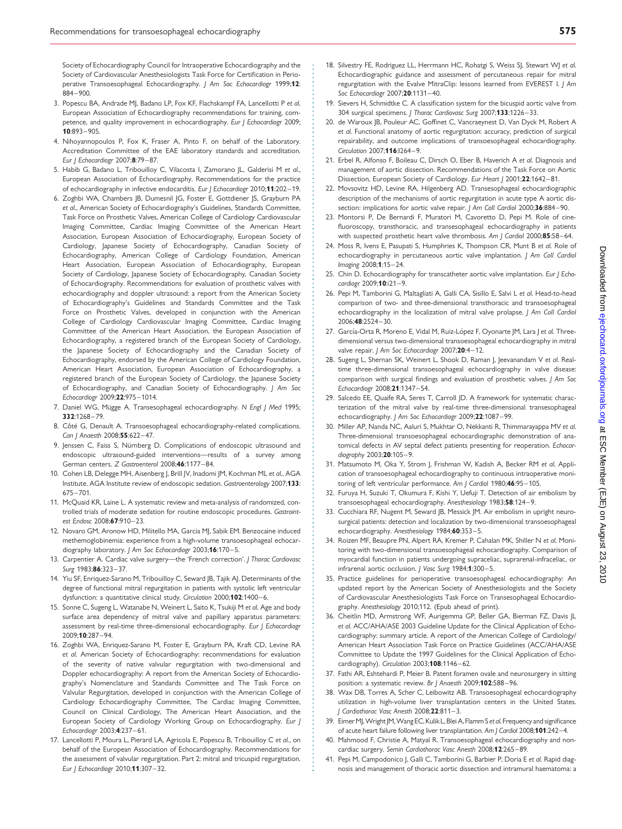<span id="page-18-0"></span>Society of Echocardiography Council for Intraoperative Echocardiography and the Society of Cardiovascular Anesthesiologists Task Force for Certification in Perioperative Transoesophageal Echocardiography. J Am Soc Echocardiogr 1999;12: 884–900.

- 3. Popescu BA, Andrade MJ, Badano LP, Fox KF, Flachskampf FA, Lancellotti P et al. European Association of Echocardiography recommendations for training, competence, and quality improvement in echocardiography. Eur J Echocardiogr 2009; 10:893–905.
- 4. Nihoyannopoulos P, Fox K, Fraser A, Pinto F, on behalf of the Laboratory. Accreditation Committee of the EAE laboratory standards and accreditation. Eur J Echocardiogr 2007;8:79–87.
- 5. Habib G, Badano L, Tribouilloy C, Vilacosta I, Zamorano JL, Galderisi M et al., European Association of Echocardiography. Recommendations for the practice of echocardiography in infective endocarditis. Eur J Echocardiogr 2010;11:202-19.
- 6. Zoghbi WA, Chambers JB, Dumesnil JG, Foster E, Gottdiener JS, Grayburn PA et al., American Society of Echocardiography's Guidelines, Standards Committee, Task Force on Prosthetic Valves, American College of Cardiology Cardiovascular Imaging Committee, Cardiac Imaging Committee of the American Heart Association, European Association of Echocardiography, European Society of Cardiology, Japanese Society of Echocardiography, Canadian Society of Echocardiography, American College of Cardiology Foundation, American Heart Association, European Association of Echocardiography, European Society of Cardiology, Japanese Society of Echocardiography, Canadian Society of Echocardiography. Recommendations for evaluation of prosthetic valves with echocardiography and doppler ultrasound: a report from the American Society of Echocardiography's Guidelines and Standards Committee and the Task Force on Prosthetic Valves, developed in conjunction with the American College of Cardiology Cardiovascular Imaging Committee, Cardiac Imaging Committee of the American Heart Association, the European Association of Echocardiography, a registered branch of the European Society of Cardiology, the Japanese Society of Echocardiography and the Canadian Society of Echocardiography, endorsed by the American College of Cardiology Foundation, American Heart Association, European Association of Echocardiography, a registered branch of the European Society of Cardiology, the Japanese Society of Echocardiography, and Canadian Society of Echocardiography. J Am Soc Echocardiogr 2009;22:975–1014.
- 7. Daniel WG, Mügge A. Transesophageal echocardiography. N Engl J Med 1995; 332:1268–79.
- 8. Côté G, Denault A. Transoesophageal echocardiography-related complications. Can J Anaesth 2008;55:622-47.
- 9. Jenssen C, Faiss S, Nürnberg D. Complications of endoscopic ultrasound and endoscopic ultrasound-guided interventions—results of a survey among German centers. Z Gastroenterol 2008;46:1177–84.
- 10. Cohen LB, Delegge MH, Aisenberg J, Brill JV, Inadomi JM, Kochman ML et al., AGA Institute. AGA Institute review of endoscopic sedation. Gastroenterology 2007;133: 675–701.
- 11. McQuaid KR, Laine L. A systematic review and meta-analysis of randomized, controlled trials of moderate sedation for routine endoscopic procedures. Gastrointest Endosc 2008;67:910–23.
- 12. Novaro GM, Aronow HD, Militello MA, Garcia MJ, Sabik EM. Benzocaine induced methemoglobinemia: experience from a high-volume transoesophageal echocardiography laboratory. J Am Soc Echocardiogr 2003;16:170-5.
- 13. Carpentier A. Cardiac valve surgery—the 'French correction'. J Thorac Cardiovasc Surg 1983;86:323–37.
- 14. Yiu SF, Enriquez-Sarano M, Tribouilloy C, Seward JB, Tajik AJ. Determinants of the degree of functional mitral regurgitation in patients with systolic left ventricular dysfunction: a quantitative clinical study. Circulation 2000;102:1400–6.
- 15. Sonne C, Sugeng L, Watanabe N, Weinert L, Saito K, Tsukiji M et al. Age and body surface area dependency of mitral valve and papillary apparatus parameters: assessment by real-time three-dimensional echocardiography. Eur J Echocardiogr 2009;10:287–94.
- 16. Zoghbi WA, Enriquez-Sarano M, Foster E, Grayburn PA, Kraft CD, Levine RA et al. American Society of Echocardiography: recommendations for evaluation of the severity of native valvular regurgitation with two-dimensional and Doppler echocardiography: A report from the American Society of Echocardiography's Nomenclature and Standards Committee and The Task Force on Valvular Regurgitation, developed in conjunction with the American College of Cardiology Echocardiography Committee, The Cardiac Imaging Committee, Council on Clinical Cardiology, The American Heart Association, and the European Society of Cardiology Working Group on Echocardiography. Eur J Echocardiogr 2003;4:237–61.
- 17. Lancellotti P, Moura L, Pierard LA, Agricola E, Popescu B, Tribouilloy C et al., on behalf of the European Association of Echocardiography. Recommendations for the assessment of valvular regurgitation. Part 2: mitral and tricuspid regurgitation. Eur J Echocardiogr 2010;11:307–32.
- 18. Silvestry FE, Rodriguez LL, Herrmann HC, Rohatgi S, Weiss SJ, Stewart WJ et al. Echocardiographic guidance and assessment of percutaneous repair for mitral regurgitation with the Evalve MitraClip: lessons learned from EVEREST I. J Am Soc Echocardiogr 2007;20:1131–40.
- 19. Sievers H, Schmidtke C. A classification system for the bicuspid aortic valve from 304 surgical specimens. J Thorac Cardiovasc Surg 2007;133:1226-33.
- 20. de Waroux JB, Pouleur AC, Goffinet C, Vancraeynest D, Van Dyck M, Robert A et al. Functional anatomy of aortic regurgitation: accuracy, prediction of surgical repairability, and outcome implications of transoesophageal echocardiography. Circulation 2007;116:I264–9.
- 21. Erbel R, Alfonso F, Boileau C, Dirsch O, Eber B, Haverich A et al. Diagnosis and management of aortic dissection. Recommendations of the Task Force on Aortic Dissection, European Society of Cardiology. Eur Heart J 2001;22:1642-81.
- 22. Movsovitz HD, Levine RA, Hilgenberg AD. Transesophageal echocardiographic description of the mechanisms of aortic regurgitation in acute type A aortic dissection: implications for aortic valve repair. J Am Coll Cardiol 2000;36:884-90.
- 23. Montorsi P, De Bernardi F, Muratori M, Cavoretto D, Pepi M. Role of cinefluoroscopy, transthoracic, and transesophageal echocardiography in patients with suspected prosthetic heart valve thrombosis. Am J Cardiol 2000;85:58-64.
- 24. Moss R, Ivens E, Pasupati S, Humphries K, Thompson CR, Munt B et al. Role of echocardiography in percutaneous aortic valve implantation. J Am Coll Cardiol Imaging 2008;1:15–24.
- 25. Chin D. Echocardiography for transcatheter aortic valve implantation. Eur J Echocardiogr 2009;10:i21-9.
- 26. Pepi M, Tamborini G, Maltagliati A, Galli CA, Sisillo E, Salvi L et al. Head-to-head comparison of two- and three-dimensional transthoracic and transoesophageal echocardiography in the localization of mitral valve prolapse. J Am Coll Cardiol 2006;48:2524–30.
- 27. García-Orta R, Moreno E, Vidal M, Ruiz-López F, Oyonarte JM, Lara J et al. Threedimensional versus two-dimensional transoesophageal echocardiography in mitral valve repair. J Am Soc Echocardiogr 2007;20:4-12.
- 28. Sugeng L, Shernan SK, Weinert L, Shook D, Raman J, Jeevanandam V et al. Realtime three-dimensional transoesophageal echocardiography in valve disease: comparison with surgical findings and evaluation of prosthetic valves. J Am Soc Echocardiogr 2008;21:1347–54.
- 29. Salcedo EE, Quaife RA, Seres T, Carroll JD. A framework for systematic characterization of the mitral valve by real-time three-dimensional transesophageal echocardiography. J Am Soc Echocardiogr 2009;22:1087–99.
- 30. Miller AP, Nanda NC, Aaluri S, Mukhtar O, Nekkanti R, Thimmarayappa MV et al. Three-dimensional transoesophageal echocardiographic demonstration of anatomical defects in AV septal defect patients presenting for reoperation. Echocardiography 2003;20:105-9.
- 31. Matsumoto M, Oka Y, Strom J, Frishman W, Kadish A, Becker RM et al. Application of transoesophageal echocardiography to continuous intraoperative monitoring of left ventricular performance. Am J Cardiol 1980;46:95-105.
- 32. Furuya H, Suzuki T, Okumura F, Kishi Y, Uefuji T. Detection of air embolism by transoesophageal echocardiography. Anesthesiology 1983;58:124–9.
- 33. Cucchiara RF, Nugent M, Seward JB, Messick JM. Air embolism in upright neurosurgical patients: detection and localization by two-dimensional transoesophageal echocardiography. Anesthesiology 1984;60:353–5.
- 34. Roizen MF, Beaupre PN, Alpert RA, Kremer P, Cahalan MK, Shiller N et al. Monitoring with two-dimensional transoesophageal echocardiography. Comparison of myocardial function in patients undergoing supraceliac, suprarenal-infraceliac, or infrarenal aortic occlusion. J Vasc Surg 1984;1:300-5.
- 35. Practice guidelines for perioperative transoesophageal echocardiography: An updated report by the American Society of Anesthesiologists and the Society of Cardiovascular Anesthesiologists Task Force on Transesophageal Echocardiography. Anesthesiology 2010;112. (Epub ahead of print).
- 36. Cheitlin MD, Armstrong WF, Aurigemma GP, Beller GA, Bierman FZ, Davis JL et al. ACC/AHA/ASE 2003 Guideline Update for the Clinical Application of Echocardiography: summary article. A report of the American College of Cardiology/ American Heart Association Task Force on Practice Guidelines (ACC/AHA/ASE Committee to Update the 1997 Guidelines for the Clinical Application of Echocardiography). Circulation 2003;108:1146–62.
- 37. Fathi AR, Eshtehardi P, Meier B. Patent foramen ovale and neurosurgery in sitting position: a systematic review. Br | Anaesth 2009;102:588-96.
- 38. Wax DB, Torres A, Scher C, Leibowitz AB. Transoesophageal echocardiography utilization in high-volume liver transplantation centers in the United States. J Cardiothorac Vasc Anesth 2008;22:811-3.
- 39. Eimer MJ, Wright JM, Wang EC, Kulik L, Blei A, Flamm S et al. Frequency and significance of acute heart failure following liver transplantation. Am J Cardiol 2008;101:242–4.
- 40. Mahmood F, Christie A, Matyal R. Transoesophageal echocardiography and noncardiac surgery. Semin Cardiothorac Vasc Anesth 2008;12:265–89.
- 41. Pepi M, Campodonico J, Galli C, Tamborini G, Barbier P, Doria E et al. Rapid diagnosis and management of thoracic aortic dissection and intramural haematoma: a